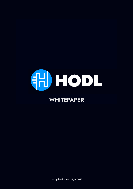

# **WHITEPAPER**

Last updated – Mon 13 Jun 2022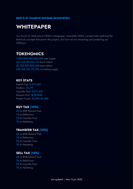#### **DEFI'S #1 PASSIVE INCOME ECOSYSTEM**

# **WHITEPAPER**

You found it!! Welcome to HODL's whitepaper; essentially HODL's project plan outlining the technical concepts that power the project, and how we are rewarding and protecting our HODLers.

#### **TOKENOMICS**

1,000,000,000,000,000 total supply 267,168,180,064,714 burnt tokens 30,700,000,000,000 team tokens 650,168,125,172,706 circulating supply

#### **KEY STATS**

Market Cap: \$ 971,630 Hodlers: 25,277 Liquidity Pool: \$217,456 Reward Pool: 18.36 BNB Project Funds: 55,699.42 USD

#### **BUY TAX (10%)**

6% to BNB Reward Pool 1% to Reflections 2% to Liquidity Pool 1% to Marketing

#### **TRANSFER TAX (10%)**

6% to BNB Reward Pool 1% to Reflections 2% to Liquidity Pool 1% to Marketing

#### **SELL TAX (10%)**

6% to BNB Reward Pool 1% to Reflections 2% to Liquidity Pool 1% to Marketing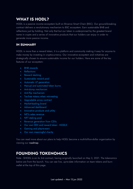### **WHAT IS HODL?**

HODL is a passive income ecosystem built on Binance Smart Chain (BSC). Our ground-breaking contract delivers a revolutionary mechanism to BSC ecosystem: Earn sustainable BNB and reflections just by holding. Not only that but our token is underpinned by the greatest brand name in crypto and a series of innovative products that our holders can enjoy in order to generate more passive income.

#### **IN SUMMARY**

HODL is more than a reward token; it is a platform and community making it easy for anyone to make money by investing in cryptocurrency. Our innovative ecosystem and initiatives are strategically chosen to ensure sustainable income for our holders. Here are some of the key features of our ecosystem:

- BNB rewards
- Reflections
- Reward stacking
- Sustainable reward pool
- Automatic LP generation
- Manual and automated token burns
- Anti-dump mechanism
- Anti-flip mechanism
- Tax-free tokens when reinvesting
- Upgradable proxy contract
- Market-leading brand
- Advanced dashboard
- Innovative products and utility
- NFTs sales revenue
- NFT staking pool
- Revenue generation from CEXs
- Our own DEX and reward token HODLX
- Gaming and play-to-earn
- Our own meaningful charity

You can read more about our plans to help HODL become a multi-billion-dollar organization by viewing our roadmap.

## **FOUNDING TOKENOMICS**

Note - \$HODL is on its 3rd contract, having originally launched on May 3, 2021. The tokenomics below are from the launch. You can see live, up-to-date information on team tokens and burn wallet at the top of this page.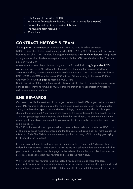- Total Supply: 1 Quadrillion \$HODL
- 66.4% used for presale and launch. (100% of LP Locked for 6 Months)
- 5% used for airdrops (Locked until distribution)
- The founding team received 1%
- 23.4% burnt

### **CONTRACT HISTORY & TEAM**

The original HODL contract was launched on May 3, 2021 by founding developer @HODLToken. The v1 token was then migrated to HODL 2.0 by @HODLToken, with this contract launching on Jul 22, 2021 to allow the project to introduce a series of new features. The process of migration required holders to swap their tokens via the HODL website due to the LP locks in place on HODL 2.0.

A new team took over the project and migrated to a 3rd and final proxy/upgradable HODL contract on Nov 10, 2021, led by Jeff Gilden as CEO. The migration was executed by an automated airdrop, requiring no input from holders. On Apr 27, 2022, Adam Roberts, former HODL CMO and COO took the role of CEO with Jeff Gilden moving to the role of CMO and Chairman (visit our team page to meet the HODL team).

Due to the nature of the blockchain, certain platforms still list the old contracts, however, we've gone to great lengths to remove as much of this information or to add migration notices to reduce any potential confusion.

### **BNB REWARDS**

Our reward pool is the heartbeat of our project. When you hold HODL in your wallet, you get to enjoy BNB rewards by claiming from the reward pool, based on how much HODL you hold. Simply visit the claim page on the website every 7-days, connect your wallet and claim your share of the reward pool! Your rewards are based on the percentage of the total supply you own – it is this percentage amount that you claim from the reward pool. The amount of BNB in the reward pool varies based on several things: volume, BNB price, wallet holders, the reward pool cap in place, etc.

The BNB in the reward pool is generated from taxes on buys, sells, and transfers of HODL. 6% of all buys, sells and transfers are taxed and the tokens are sold using a sell bot that liquefies the tokens into BNB. This BNB is sent to the reward pool and to date, HODL is the biggest paying BNB reward token in history!

Every investor will have to wait for a specific duration called a 'claim cycle' (date and time) to collect the BNB rewards – this is every 7-days and the next collection date can be viewed when you connect your wallet to the claim page on the website. If you miss your collection time/date, it will reset once you collect your rewards and reset for the next 7-days.

Whist waiting for your rewards to be available, if you continue to add more than 25% (threshHoldTopUpRate) to your HODL token balance, the waiting duration will proportionally add up with the cycle (note - If you sell HODL it does not affect your cycle). For example, on the first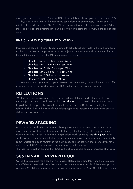day of your cycle, if you add 30% more HODL to your token balance, you will have to wait: 30% \* 7 days = 50.4 hours more. That means you can collect BNB after 9 days, 2 hours, and 40 minutes. If you add more than 100% HODL to your token balance, then you have to wait 7 days more. This will ensure investors can't game the system by adding more HODL at the end of each cycle.

#### **BNB CLAIM TAX (\*CURRENTLY AT 0%)**

Investors who claim BNB rewards above certain thresholds will contribute to the marketing fund to give back a little and help further grow the project and the value of their investment. These taxes will be deducted from the BNB you are sent, as follows:

- Claim less than  $0.1$  BNB = you pay 0% tax
- Claim less than  $0.25$  BNB = you pay 0% tax
- Claim less than  $0.5$  BNB = you pay 0% tax
- Claim less than  $0.75$  BNB = you pay 0% tax
- Claim less than  $1 BNB = you pay 0\%$  tax
- Claim over  $1$  BNB = you pay 0% tax

\*These taxes can be dynamically applied, however we are currently running them at 0% to offer maximum gains to our investors to ensure HODL offers more during bear-markets.

#### **REFLECTIONS**

1% of all buys and transfers and sales, is taxed and re-distributed to all holders as RFI static rewards (HODL tokens as reflections). The **burn address** is also a holder thus each transaction helps deflate the supply. This is another benefit for holders, HODL the token and get more tokens which will make the value of your holdings grow and increase your percentage share of claims from the reward pool.

#### **REWARD STACKING**

HODL Stack is class-leading innovation, allowing investors to stack their rewards in order to ensure smaller investors can claim rewards that are greater than the gas fee they pay when claiming rewards. To stack rewards you simply select 'stack' on the reward claim page, pay a small gas fee to stack them and that's it! When you're ready to collect your rewards, you simply select 'Unstack and claim reward' on the claim page. You can see how much reward you have and how much HODL you stacked along with when you first stacked.

This leading innovation ensures that HODL is the ultimate reward token for investors of all sizes.

### **SUSTAINABLE REWARD POOL**

Our BNB reward pool has a cap that we manage. Holders can claim BNB from the reward pool every 7-days and take their share from the capped amount – for example, if the reward pool is capped at 20 BNB and you own 1% of the tokens, you will receive 1% of 100 BNB, every 7-days.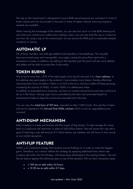The cap on the reward pool is designed to ensure BNB reward payouts are consistent in times of lower volume and can accumulate in the pool in times of higher volume, ensuring long-term rewards are available.

When viewing the homepage of the website, you can see how much is in the BNB reward pool and when you connect your wallet when making a claim, you can see what the cap is in place at any time. By using a cap on the reward pool, we can ensure the BNB pool is sustainable despite variations in volume.

# **AUTOMATIC LP**

2% of buys, transfers, and sells get added to the liquidity on PancakeSwap. This liquidity becomes locked away and inaccessible, once again raising the price floor each time a transaction is made. In addition, by adding to the liquidity pool the price will see more stability and sellers will be able to access their funds easily.

### **TOKEN BURNS**

We've burnt more than ~27% of the total supply since launch and sent it to a burn address; as this address also participates in the protocol, it accumulates more tokens, thereby effectively removing them from circulation. There is no limit to the burn, the burn wallet will keep growing, increasing the scarcity of HODL. In short, HODL is a deflationary token.

In addition to automated burn protocols, we have run several manual burns and may continue to do so in the future. Having major burns controlled by the team and promoted based on achievements helps to keep the community rewarded and informed.

You can view the initial burn of 10T here, executed on May 7 2021 (note - this was the v1 token and we've migrated to the 3rd and final HODL contract which is now an upgradable/proxy contract).

## **ANTI-DUMP MECHANISM**

Many investors in crypto are familiar with the impact of big dumps. To help manage this issue, there is a maximum sell restriction in place of 250 billion tokens. We will review this cap with a goal of reaching a max sell amount of 1 trillion tokens, per address, per 24 hours in due course as our market cap grows.

# **ANTI-FLIP FEATURE**

HODL is an investment strategy that revolves around holding on in order to make the biggest gains. Therefore, our contract reflects this strategy by applying additional taxes where new investors sell within the first 90-days, with these taxes distributed to the existing holders. The antiflip tax feature applies the following taxes on top of the standard 10% on-chain transaction taxes:

- $\bullet$  + 15% tax on sells within 24 hours
- $\bullet$  + 12.5% tax on sells within 2-7 days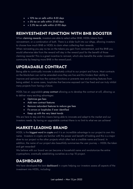- $\bullet$  + 10% tax on sells within 8-30 days
- $\bullet$  + 5% tax on sells within 31-60 days
- $\bullet$  + 2.5% tax on sells within 61-90 days

## **REINVESTMENT FUNCTION WITH BNB BOOSTER**

When claiming rewards, investors are able to select either BNB, HODL tokens from reinvestment, or a combination of both. There is a slider built into our dApp, allowing investors to choose how much BNB or HODL to claim when collecting their rewards.

When reinvesting you pay no tax on the tokens you gain from reinvestment, and the BNB you would otherwise take from the reward will stay in the reward pool for the benefit of those claiming rewards! This is a great incentive to reinvest, which also benefits the wider investment community by keeping more BNB in the reward pool.

### **UPGRADABLE CONTRACT**

Being able to continually innovate is absolutely critical to our project and future. Most contracts on the blockchain can not be amended once they are live and this hinders their ability to improve and optimize how the contract functions or prevents new and exciting features from being added. In some cases, loopholes that become exposed can't be fixed and can truly inhibit many projects from having a future.

HODL has an upgradable proxy contract allowing us to develop the contract at will, allowing us to deliver many exciting advantages:

- Optimize gas fees
- Add new contract features
- Remove redundant features to reduce gas fees
- Fix errors or loopholes if ever identified
- Keep up with the very latest trends

We are here to stay and this means being able to innovate and adapt to the market and our investors needs. By having an upgradable contract there is no limit to what we can achieve!

### **MARKET-LEADING BRAND**

HODL is the biggest word in crypto and it is an incredible advantage to our project to own this name. Investors in crypto are familiar with the power and benefit of holding and this is a major draw to our project vs the other projects which often lack a credible name and brand. In addition, the name of our project also beautifully summarises the user journey – HODL the token and get rewarded!

We believe with our brand we can become a household name and revolutionize the entire cryptosphere, eventually establishing ourselves as a top 10 project.

## **DASHBOARD**

We have developed the best dashboard in crypto helping our investors assess all aspects of the investment into HODL, including: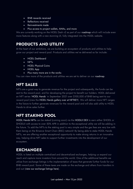- BNB rewards received
- Reflections received
- Reinvestments made
- Plus access to project wallets, AMAs, and more

We are currently working on the HODL Dash v2 as part of our roadmap which will include even more features along with a new stunning UI, fully integrated into the HODL website.

## **PRODUCTS AND UTILITY**

At the heart of our ambitions, we are building an ecosystem of products and utilities to help grow our project and reward pool. Products and utilities we've delivered so far include:

- HODL Dashboard
- NFT<sub>s</sub>
- HODL Physical Coins
- HODL App
- Plus many more are in the works

You can view more of the products and utilities we are set to deliver on our roadmap.

# **NFT SALES**

NFTs are a great way to generate revenue for the project and subsequently, the funds can be sent to the reward pool, and for developing the project to benefit our holders. HODL delivered an NFT series 'HODL Hands' in September 2021 over \$100,000 of BNB being sent to our reward pool (view the HODL Hands gallery over at NFTKEY). We will deliver more NFT ranges in the future to further generate revenues for the reward pool and will also add utility to HODL Hands to drive sales further.

# **NFT STAKING POOL**

HODL Hands NFTs can be staked (coming soon) via the HODLX DEX to earn either \$HODL or \$HODLX with access to over 50% APR in addition to the exceptional utility we will be adding in the future. To add the NFTs to the staking pool is very simple and the gas fees are very low with them being on the Binance Smart Chain (BSC) network! By being able to stake HODL Hands NFTs, we are offering another exceptional opportunity to make strong returns in an innovative way, helping drive NFT sales to support further investments into the development of our ecosystem.

# **EXCHANGES**

HODL is listed on multiple centralized and decentralized exchanges, helping us expand our reach and capture more investors from around the world. One of the additional benefits we utilize from exchange listings is the implementation of taxes that generate further funds for our BNB reward pool. Some of these taxes are made on the exchange and others from transfers in and out (view our exchange listings here).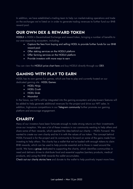In addition, we have established a trading team to help run market-making operations and trade on the exchanges we're listed on in order to generate trading revenues to further fund our BNB reward pool.

# **OUR OWN DEX & REWARD TOKEN**

HODLX is HODL's Decentralized Exchange and reward token, bringing a number of benefits to our ever-expanding ecosystem, including:

- Capture the fees from buying and selling HODL to provide further funds for our BNB reward pool
- Offer staking services on the HODLX platform
- Offer farming services on the HODLX platform
- Provide investors with more ways to earn

You can view the HODLX price chart here and buy HODLX directly through our DEX.

# **GAMING WITH PLAY TO EARN**

HODL has its own games fun games, which are free to play and currently hosted on our dedicated gaming site - HODL Games:

- HODL Ninja
- HODL Crush
- HODL Grab
- Moonshot

In the future, our NFTs will be integrated into the gaming ecosystem and play-to-earn features will be added to help generate additional revenues for the project and drive our NFT sales. In addition, high-score competitions in our Telegram community further promote our gaming platform and encourage engagement.

# **CHARITY**

Many of our investors have been fortunate enough to make strong returns on their investments since our inception. We saw a lot of these investors in our community wanting to help others and share some of their rewards, which sparked the idea behind our charity – HODL Forward. We wanted to create our own charity and tie it in with the values of our token. The concept behind HODL Forward is for the project and its community to forward on some of the gains made from investing to help others. The charity has a wallet that we've loaded with enough tokens to claim BNB rewards, which can be used to help provide essential aid to those in need around the world. We have a group dedicated to supporting the charity, which identifies communities in need and delivers drives to distribute food and essential supplies (sanitary products, medical products, etc) using the BNB rewards the wallet accumulates.

Check out our charity stories here and donate to the wallet to help positively impact more lives.